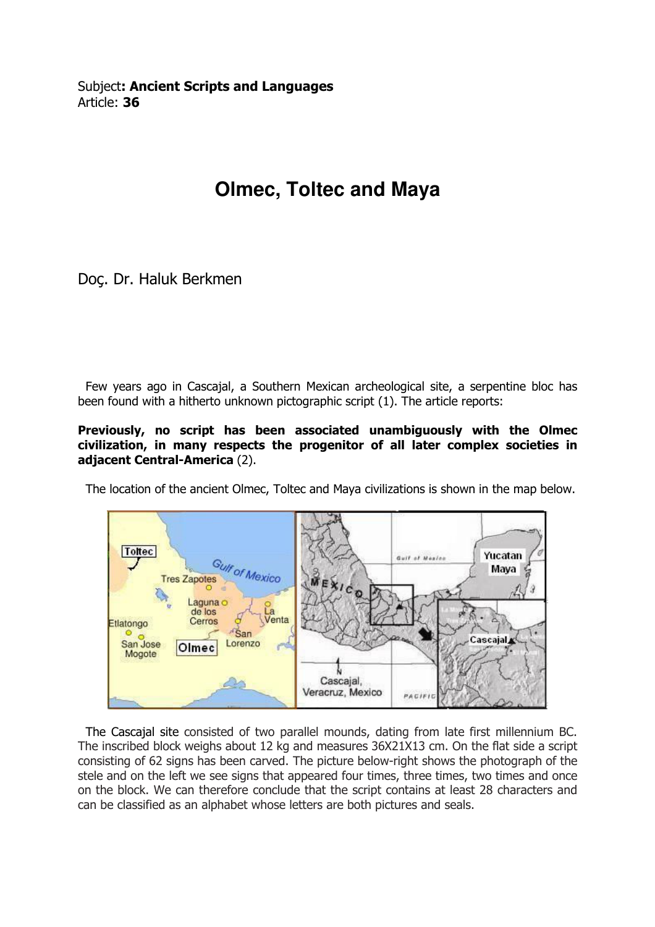## **Olmec, Toltec and Maya**

Doç. Dr. Haluk Berkmen

 Few years ago in Cascajal, a Southern Mexican archeological site, a serpentine bloc has been found with a hitherto unknown pictographic script (1). The article reports:

Previously, no script has been associated unambiguously with the Olmec civilization, in many respects the progenitor of all later complex societies in adjacent Central-America (2).

The location of the ancient Olmec, Toltec and Maya civilizations is shown in the map below.



 The Cascajal site consisted of two parallel mounds, dating from late first millennium BC. The inscribed block weighs about 12 kg and measures 36X21X13 cm. On the flat side a script consisting of 62 signs has been carved. The picture below-right shows the photograph of the stele and on the left we see signs that appeared four times, three times, two times and once on the block. We can therefore conclude that the script contains at least 28 characters and can be classified as an alphabet whose letters are both pictures and seals.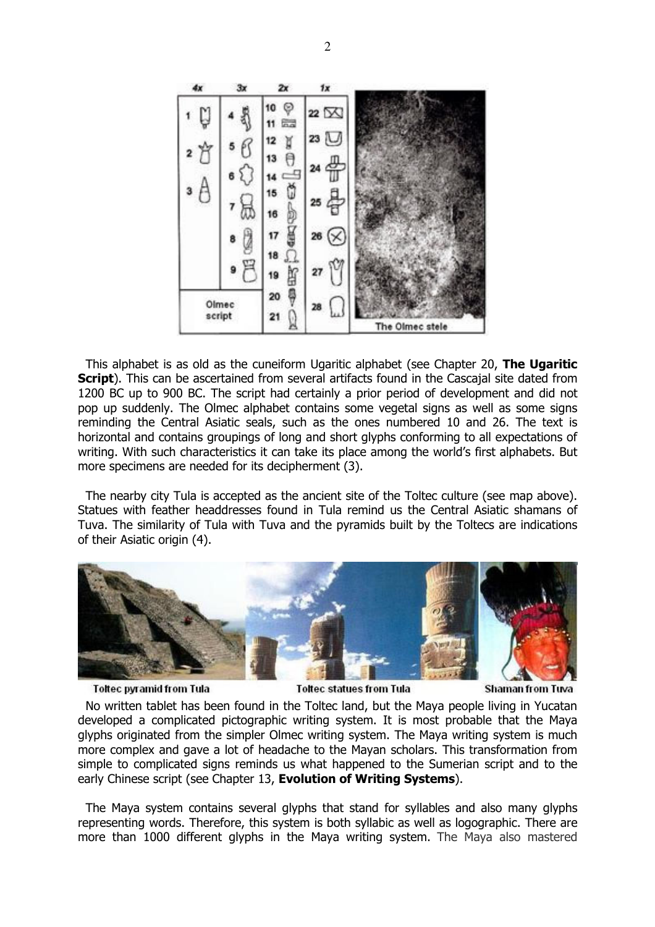

This alphabet is as old as the cuneiform Ugaritic alphabet (see Chapter 20, **The Ugaritic** Script). This can be ascertained from several artifacts found in the Cascajal site dated from 1200 BC up to 900 BC. The script had certainly a prior period of development and did not pop up suddenly. The Olmec alphabet contains some vegetal signs as well as some signs reminding the Central Asiatic seals, such as the ones numbered 10 and 26. The text is horizontal and contains groupings of long and short glyphs conforming to all expectations of writing. With such characteristics it can take its place among the world's first alphabets. But more specimens are needed for its decipherment (3).

 The nearby city Tula is accepted as the ancient site of the Toltec culture (see map above). Statues with feather headdresses found in Tula remind us the Central Asiatic shamans of Tuva. The similarity of Tula with Tuva and the pyramids built by the Toltecs are indications of their Asiatic origin (4).



**Toltec pyramid from Tula** 

**Toltec statues from Tula** 

**Shaman from Tuva** 

 No written tablet has been found in the Toltec land, but the Maya people living in Yucatan developed a complicated pictographic writing system. It is most probable that the Maya glyphs originated from the simpler Olmec writing system. The Maya writing system is much more complex and gave a lot of headache to the Mayan scholars. This transformation from simple to complicated signs reminds us what happened to the Sumerian script and to the early Chinese script (see Chapter 13, Evolution of Writing Systems).

 The Maya system contains several glyphs that stand for syllables and also many glyphs representing words. Therefore, this system is both syllabic as well as logographic. There are more than 1000 different glyphs in the Maya writing system. The Maya also mastered